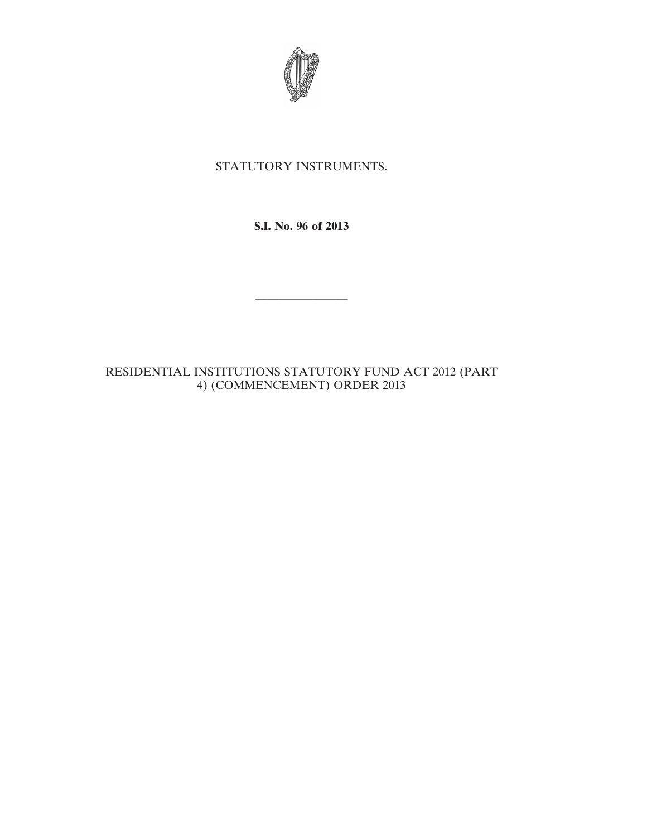

## STATUTORY INSTRUMENTS.

**S.I. No. 96 of 2013**

————————

RESIDENTIAL INSTITUTIONS STATUTORY FUND ACT 2012 (PART 4) (COMMENCEMENT) ORDER 2013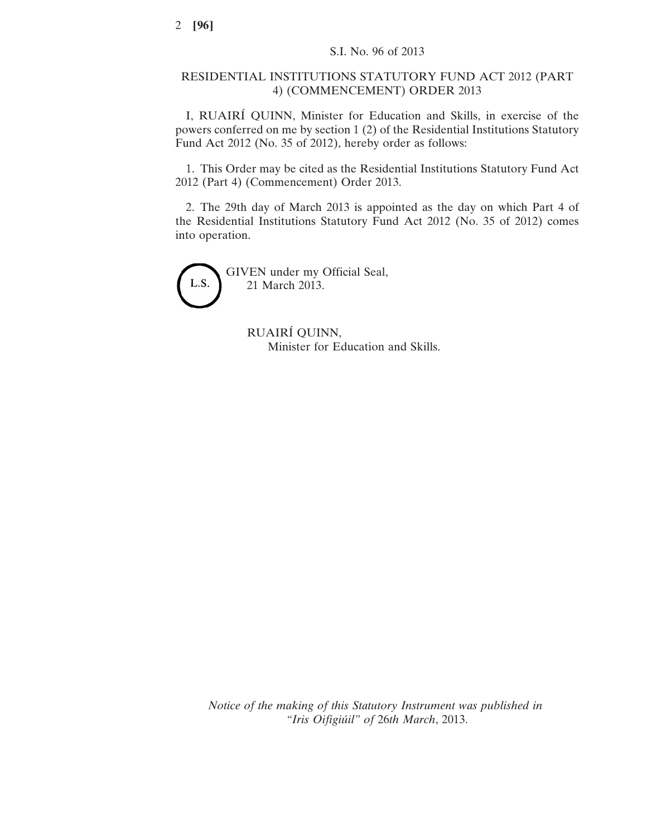## RESIDENTIAL INSTITUTIONS STATUTORY FUND ACT 2012 (PART 4) (COMMENCEMENT) ORDER 2013

I, RUAIRÍ QUINN, Minister for Education and Skills, in exercise of the powers conferred on me by section 1 (2) of the Residential Institutions Statutory Fund Act 2012 (No. 35 of 2012), hereby order as follows:

1. This Order may be cited as the Residential Institutions Statutory Fund Act 2012 (Part 4) (Commencement) Order 2013.

2. The 29th day of March 2013 is appointed as the day on which Part 4 of the Residential Institutions Statutory Fund Act 2012 (No. 35 of 2012) comes into operation.

L.S.

GIVEN under my Official Seal, 21 March 2013.

> RUAIRÍ QUINN, Minister for Education and Skills.

*Notice of the making of this Statutory Instrument was published in "Iris Oifigiúil" of* 26*th March*, 2013.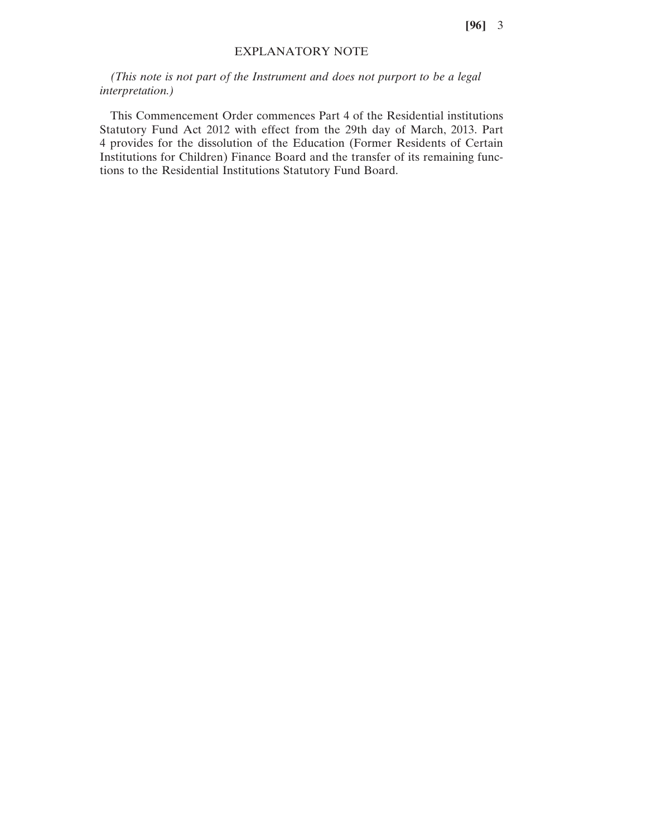## EXPLANATORY NOTE

*(This note is not part of the Instrument and does not purport to be a legal interpretation.)*

This Commencement Order commences Part 4 of the Residential institutions Statutory Fund Act 2012 with effect from the 29th day of March, 2013. Part 4 provides for the dissolution of the Education (Former Residents of Certain Institutions for Children) Finance Board and the transfer of its remaining functions to the Residential Institutions Statutory Fund Board.